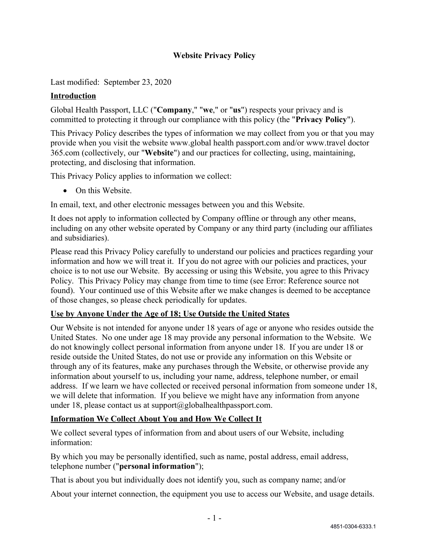### **Website Privacy Policy**

Last modified: September 23, 2020

#### **Introduction**

Global Health Passport, LLC ("**Company**," "**we**," or "**us**") respects your privacy and is committed to protecting it through our compliance with this policy (the "**Privacy Policy**").

This Privacy Policy describes the types of information we may collect from you or that you may provide when you visit the website www.global health passport.com and/or www.travel doctor 365.com (collectively, our "**Website**") and our practices for collecting, using, maintaining, protecting, and disclosing that information.

This Privacy Policy applies to information we collect:

• On this Website.

In email, text, and other electronic messages between you and this Website.

It does not apply to information collected by Company offline or through any other means, including on any other website operated by Company or any third party (including our affiliates and subsidiaries).

Please read this Privacy Policy carefully to understand our policies and practices regarding your information and how we will treat it. If you do not agree with our policies and practices, your choice is to not use our Website. By accessing or using this Website, you agree to this Privacy Policy. This Privacy Policy may change from time to time (see [Error: Reference source not](#page-0-0)  [found\)](#page-0-0). Your continued use of this Website after we make changes is deemed to be acceptance of those changes, so please check periodically for updates.

#### <span id="page-0-0"></span>**Use by Anyone Under the Age of 18; Use Outside the United States**

Our Website is not intended for anyone under 18 years of age or anyone who resides outside the United States. No one under age 18 may provide any personal information to the Website. We do not knowingly collect personal information from anyone under 18. If you are under 18 or reside outside the United States, do not use or provide any information on this Website or through any of its features, make any purchases through the Website, or otherwise provide any information about yourself to us, including your name, address, telephone number, or email address. If we learn we have collected or received personal information from someone under 18, we will delete that information. If you believe we might have any information from anyone under 18, please contact us at support $(a)$ globalhealthpassport.com.

#### **Information We Collect About You and How We Collect It**

We collect several types of information from and about users of our Website, including information:

By which you may be personally identified, such as name, postal address, email address, telephone number ("**personal information**");

That is about you but individually does not identify you, such as company name; and/or

About your internet connection, the equipment you use to access our Website, and usage details.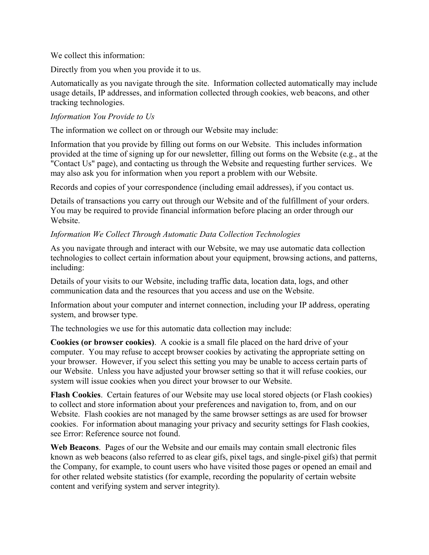We collect this information:

Directly from you when you provide it to us.

Automatically as you navigate through the site. Information collected automatically may include usage details, IP addresses, and information collected through cookies, web beacons, and other tracking technologies.

#### *Information You Provide to Us*

The information we collect on or through our Website may include:

Information that you provide by filling out forms on our Website. This includes information provided at the time of signing up for our newsletter, filling out forms on the Website (e.g., at the "Contact Us" page), and contacting us through the Website and requesting further services. We may also ask you for information when you report a problem with our Website.

Records and copies of your correspondence (including email addresses), if you contact us.

Details of transactions you carry out through our Website and of the fulfillment of your orders. You may be required to provide financial information before placing an order through our Website.

#### *Information We Collect Through Automatic Data Collection Technologies*

As you navigate through and interact with our Website, we may use automatic data collection technologies to collect certain information about your equipment, browsing actions, and patterns, including:

Details of your visits to our Website, including traffic data, location data, logs, and other communication data and the resources that you access and use on the Website.

Information about your computer and internet connection, including your IP address, operating system, and browser type.

The technologies we use for this automatic data collection may include:

**Cookies (or browser cookies)**. A cookie is a small file placed on the hard drive of your computer. You may refuse to accept browser cookies by activating the appropriate setting on your browser. However, if you select this setting you may be unable to access certain parts of our Website. Unless you have adjusted your browser setting so that it will refuse cookies, our system will issue cookies when you direct your browser to our Website.

**Flash Cookies**. Certain features of our Website may use local stored objects (or Flash cookies) to collect and store information about your preferences and navigation to, from, and on our Website. Flash cookies are not managed by the same browser settings as are used for browser cookies. For information about managing your privacy and security settings for Flash cookies, see [Error: Reference source not found.](#page-1-0)

<span id="page-1-0"></span>**Web Beacons**. Pages of our the Website and our emails may contain small electronic files known as web beacons (also referred to as clear gifs, pixel tags, and single-pixel gifs) that permit the Company, for example, to count users who have visited those pages or opened an email and for other related website statistics (for example, recording the popularity of certain website content and verifying system and server integrity).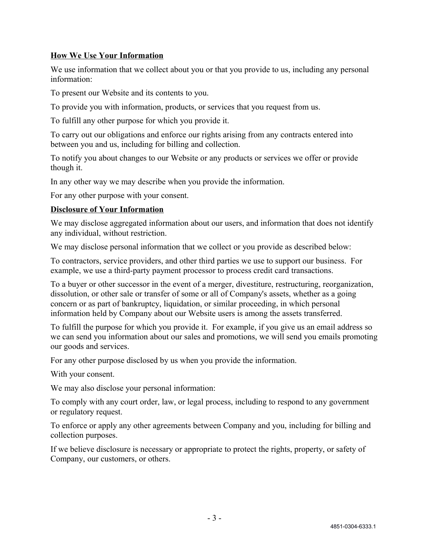### **How We Use Your Information**

We use information that we collect about you or that you provide to us, including any personal information:

To present our Website and its contents to you.

To provide you with information, products, or services that you request from us.

To fulfill any other purpose for which you provide it.

To carry out our obligations and enforce our rights arising from any contracts entered into between you and us, including for billing and collection.

To notify you about changes to our Website or any products or services we offer or provide though it.

In any other way we may describe when you provide the information.

For any other purpose with your consent.

#### **Disclosure of Your Information**

We may disclose aggregated information about our users, and information that does not identify any individual, without restriction.

We may disclose personal information that we collect or you provide as described below:

To contractors, service providers, and other third parties we use to support our business. For example, we use a third-party payment processor to process credit card transactions.

To a buyer or other successor in the event of a merger, divestiture, restructuring, reorganization, dissolution, or other sale or transfer of some or all of Company's assets, whether as a going concern or as part of bankruptcy, liquidation, or similar proceeding, in which personal information held by Company about our Website users is among the assets transferred.

To fulfill the purpose for which you provide it. For example, if you give us an email address so we can send you information about our sales and promotions, we will send you emails promoting our goods and services.

For any other purpose disclosed by us when you provide the information.

With your consent.

We may also disclose your personal information:

To comply with any court order, law, or legal process, including to respond to any government or regulatory request.

To enforce or apply any other agreements between Company and you, including for billing and collection purposes.

If we believe disclosure is necessary or appropriate to protect the rights, property, or safety of Company, our customers, or others.